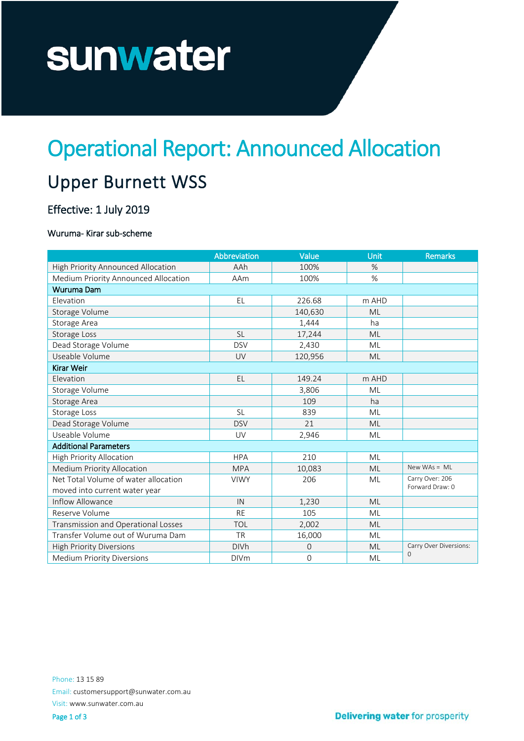# sunwater

## Operational Report: Announced Allocation

### Upper Burnett WSS

#### Effective: 1 July 2019

#### Wuruma- Kirar sub-scheme

|                                      | Abbreviation | Value   | Unit      | Remarks                |  |
|--------------------------------------|--------------|---------|-----------|------------------------|--|
| High Priority Announced Allocation   | AAh          | 100%    | $\%$      |                        |  |
| Medium Priority Announced Allocation | AAm          | 100%    | %         |                        |  |
| Wuruma Dam                           |              |         |           |                        |  |
| Elevation                            | EL           | 226.68  | m AHD     |                        |  |
| Storage Volume                       |              | 140,630 | <b>ML</b> |                        |  |
| Storage Area                         |              | 1,444   | ha        |                        |  |
| Storage Loss                         | <b>SL</b>    | 17,244  | <b>ML</b> |                        |  |
| Dead Storage Volume                  | <b>DSV</b>   | 2,430   | ML        |                        |  |
| Useable Volume                       | UV           | 120,956 | <b>ML</b> |                        |  |
| Kirar Weir                           |              |         |           |                        |  |
| Elevation                            | <b>EL</b>    | 149.24  | m AHD     |                        |  |
| Storage Volume                       |              | 3,806   | ML        |                        |  |
| Storage Area                         |              | 109     | ha        |                        |  |
| Storage Loss                         | <b>SL</b>    | 839     | ML        |                        |  |
| Dead Storage Volume                  | <b>DSV</b>   | 21      | <b>ML</b> |                        |  |
| Useable Volume                       | UV           | 2,946   | <b>ML</b> |                        |  |
| <b>Additional Parameters</b>         |              |         |           |                        |  |
| High Priority Allocation             | <b>HPA</b>   | 210     | ML        |                        |  |
| <b>Medium Priority Allocation</b>    | <b>MPA</b>   | 10,083  | <b>ML</b> | New WAs = $ML$         |  |
| Net Total Volume of water allocation | <b>VIWY</b>  | 206     | ML        | Carry Over: 206        |  |
| moved into current water year        |              |         |           | Forward Draw: 0        |  |
| Inflow Allowance                     | IN           | 1,230   | <b>ML</b> |                        |  |
| Reserve Volume                       | <b>RE</b>    | 105     | ML        |                        |  |
| Transmission and Operational Losses  | <b>TOL</b>   | 2,002   | <b>ML</b> |                        |  |
| Transfer Volume out of Wuruma Dam    | <b>TR</b>    | 16,000  | ML        |                        |  |
| <b>High Priority Diversions</b>      | <b>DIVh</b>  | 0       | ML        | Carry Over Diversions: |  |
| <b>Medium Priority Diversions</b>    | <b>DIVm</b>  | 0       | ML        | $\Omega$               |  |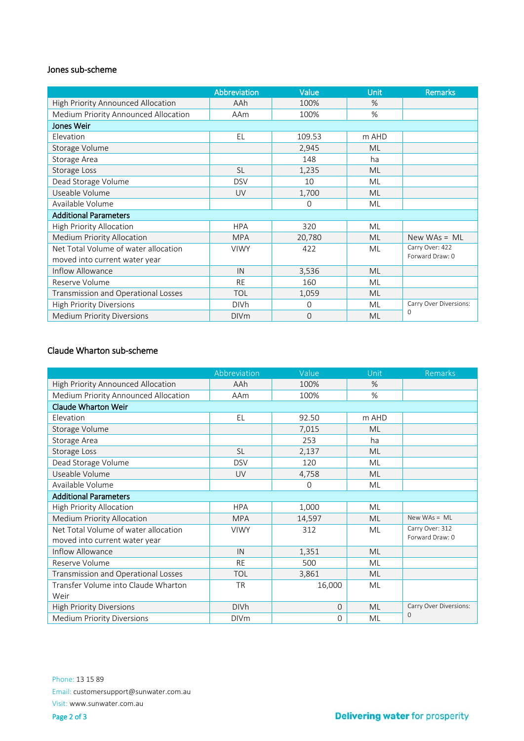#### Jones sub-scheme

|                                      | Abbreviation | Value       | Unit      | <b>Remarks</b>         |  |
|--------------------------------------|--------------|-------------|-----------|------------------------|--|
| High Priority Announced Allocation   | AAh          | 100%        | $\%$      |                        |  |
| Medium Priority Announced Allocation | AAm          | 100%        | $\%$      |                        |  |
| <b>Jones Weir</b>                    |              |             |           |                        |  |
| Elevation                            | EL           | 109.53      | m AHD     |                        |  |
| Storage Volume                       |              | 2,945       | <b>ML</b> |                        |  |
| Storage Area                         |              | 148         | ha        |                        |  |
| Storage Loss                         | <b>SL</b>    | 1,235       | <b>ML</b> |                        |  |
| Dead Storage Volume                  | <b>DSV</b>   | 10          | ML        |                        |  |
| Useable Volume                       | UV           | 1,700       | <b>ML</b> |                        |  |
| Available Volume                     |              | $\mathbf 0$ | ML        |                        |  |
| <b>Additional Parameters</b>         |              |             |           |                        |  |
| <b>High Priority Allocation</b>      | <b>HPA</b>   | 320         | ML        |                        |  |
| <b>Medium Priority Allocation</b>    | <b>MPA</b>   | 20,780      | ML        | New WAs = $ML$         |  |
| Net Total Volume of water allocation | <b>VIWY</b>  | 422         | ML        | Carry Over: 422        |  |
| moved into current water year        |              |             |           | Forward Draw: 0        |  |
| Inflow Allowance                     | IN           | 3,536       | <b>ML</b> |                        |  |
| Reserve Volume                       | <b>RE</b>    | 160         | ML        |                        |  |
| Transmission and Operational Losses  | <b>TOL</b>   | 1,059       | <b>ML</b> |                        |  |
| <b>High Priority Diversions</b>      | <b>DIVh</b>  | $\Omega$    | ML        | Carry Over Diversions: |  |
| <b>Medium Priority Diversions</b>    | <b>DIVm</b>  | $\Omega$    | <b>ML</b> | $\Omega$               |  |

#### Claude Wharton sub-scheme

|                                      | Abbreviation | Value        | Unit      | Remarks                |
|--------------------------------------|--------------|--------------|-----------|------------------------|
| High Priority Announced Allocation   | AAh          | 100%         | $\%$      |                        |
| Medium Priority Announced Allocation | AAm          | 100%         | $\%$      |                        |
| <b>Claude Wharton Weir</b>           |              |              |           |                        |
| Elevation                            | EL           | 92.50        | m AHD     |                        |
| Storage Volume                       |              | 7,015        | <b>ML</b> |                        |
| Storage Area                         |              | 253          | ha        |                        |
| Storage Loss                         | <b>SL</b>    | 2,137        | ML        |                        |
| Dead Storage Volume                  | <b>DSV</b>   | 120          | ML        |                        |
| Useable Volume                       | UV           | 4,758        | ML        |                        |
| Available Volume                     |              | 0            | ML        |                        |
| <b>Additional Parameters</b>         |              |              |           |                        |
| High Priority Allocation             | <b>HPA</b>   | 1,000        | ML        |                        |
| <b>Medium Priority Allocation</b>    | <b>MPA</b>   | 14,597       | <b>ML</b> | New WAs = $ML$         |
| Net Total Volume of water allocation | <b>VIWY</b>  | 312          | ML        | Carry Over: 312        |
| moved into current water year        |              |              |           | Forward Draw: 0        |
| Inflow Allowance                     | IN           | 1,351        | <b>ML</b> |                        |
| Reserve Volume                       | <b>RE</b>    | 500          | <b>ML</b> |                        |
| Transmission and Operational Losses  | <b>TOL</b>   | 3,861        | <b>ML</b> |                        |
| Transfer Volume into Claude Wharton  | <b>TR</b>    | 16,000       | ML        |                        |
| Weir                                 |              |              |           |                        |
| <b>High Priority Diversions</b>      | <b>DIVh</b>  | $\mathbf{O}$ | ML        | Carry Over Diversions: |
| <b>Medium Priority Diversions</b>    | <b>DIVm</b>  | $\Omega$     | ML        | $\Omega$               |